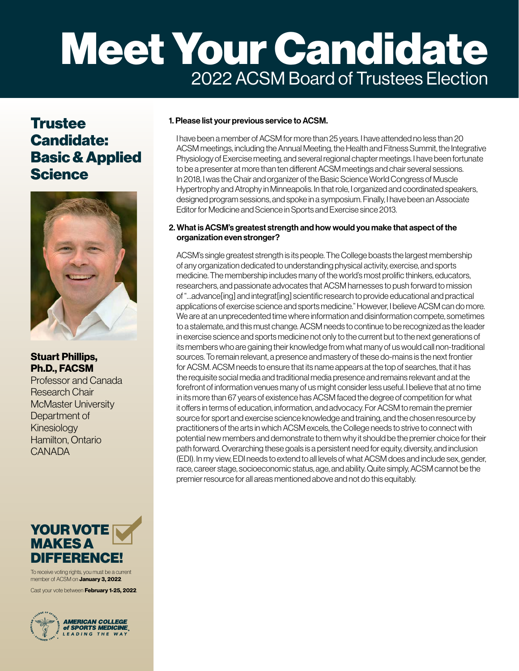# Meet Your Candidate 2022 ACSM Board of Trustees Election

## **Trustee** Candidate: Basic & Applied **Science**



### Stuart Phillips, Ph.D., FACSM

Professor and Canada Research Chair McMaster University Department of Kinesiology Hamilton, Ontario **CANADA** 

## YOUR VOTE MAKES A DIFFERENCE!

To receive voting rights, you must be a current member of ACSM on **January 3, 2022**.

Cast your vote between **February 1-25, 2022**.



#### 1. Please list your previous service to ACSM.

I have been a member of ACSM for more than 25 years. I have attended no less than 20 ACSM meetings, including the Annual Meeting, the Health and Fitness Summit, the Integrative Physiology of Exercise meeting, and several regional chapter meetings. I have been fortunate to be a presenter at more than ten different ACSM meetings and chair several sessions. In 2018, I was the Chair and organizer of the Basic Science World Congress of Muscle Hypertrophy and Atrophy in Minneapolis. In that role, I organized and coordinated speakers, designed program sessions, and spoke in a symposium. Finally, I have been an Associate Editor for Medicine and Science in Sports and Exercise since 2013.

#### 2. What is ACSM's greatest strength and how would you make that aspect of the organization even stronger?

ACSM's single greatest strength is its people. The College boasts the largest membership of any organization dedicated to understanding physical activity, exercise, and sports medicine. The membership includes many of the world's most prolific thinkers, educators, researchers, and passionate advocates that ACSM harnesses to push forward to mission of "…advance[ing] and integrat[ing] scientific research to provide educational and practical applications of exercise science and sports medicine." However, I believe ACSM can do more. We are at an unprecedented time where information and disinformation compete, sometimes to a stalemate, and this must change. ACSM needs to continue to be recognized as the leader in exercise science and sports medicine not only to the current but to the next generations of its members who are gaining their knowledge from what many of us would call non-traditional sources. To remain relevant, a presence and mastery of these do-mains is the next frontier for ACSM. ACSM needs to ensure that its name appears at the top of searches, that it has the requisite social media and traditional media presence and remains relevant and at the forefront of information venues many of us might consider less useful. I believe that at no time in its more than 67 years of existence has ACSM faced the degree of competition for what it offers in terms of education, information, and advocacy. For ACSM to remain the premier source for sport and exercise science knowledge and training, and the chosen resource by practitioners of the arts in which ACSM excels, the College needs to strive to connect with potential new members and demonstrate to them why it should be the premier choice for their path forward. Overarching these goals is a persistent need for equity, diversity, and inclusion (EDI). In my view, EDI needs to extend to all levels of what ACSM does and include sex, gender, race, career stage, socioeconomic status, age, and ability. Quite simply, ACSM cannot be the premier resource for all areas mentioned above and not do this equitably.